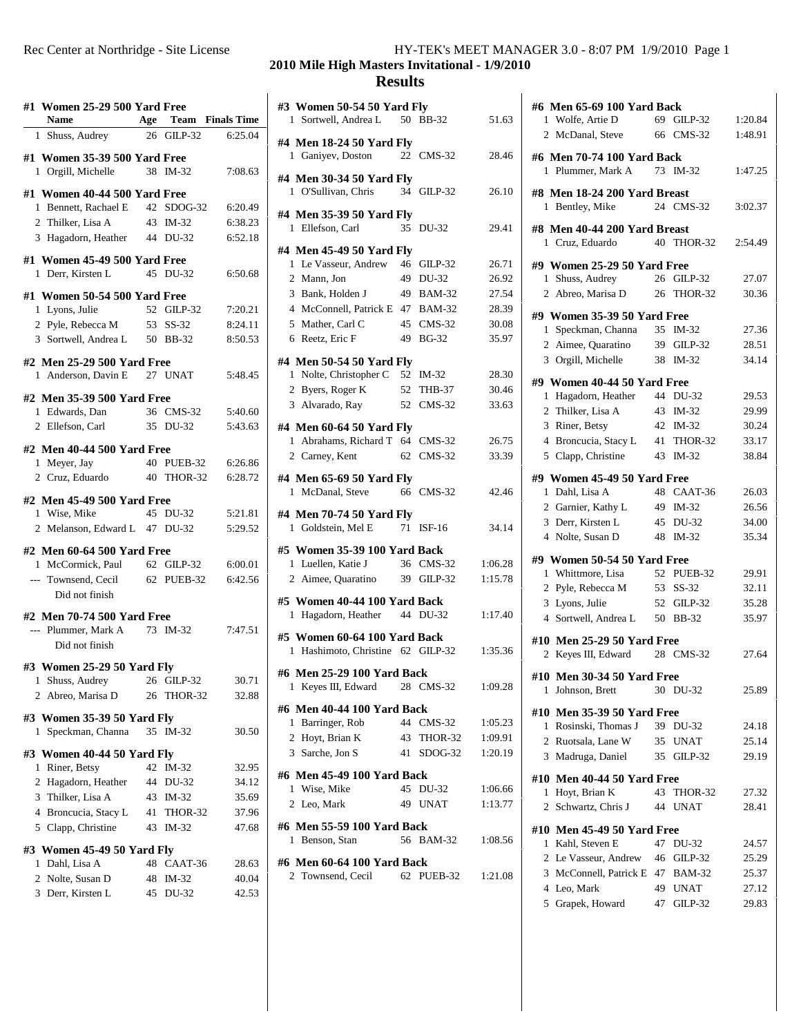| #1 Women 25-29 500 Yard Free                                  |    |                  |                    | #3                |
|---------------------------------------------------------------|----|------------------|--------------------|-------------------|
| Name Age Team Finals Time                                     |    |                  |                    |                   |
| 1 Shuss, Audrey $26 \overline{GLP-32}$                        |    |                  | 6:25.04            | #4                |
| #1 Women 35-39 500 Yard Free                                  |    |                  |                    |                   |
| 1 Orgill, Michelle 38 IM-32                                   |    |                  | 7:08.63            |                   |
|                                                               |    |                  |                    | #4                |
| #1 Women 40-44 500 Yard Free                                  |    |                  |                    |                   |
| 1 Bennett, Rachael E 42 SDOG-32<br>2 Thilker, Lisa A 43 IM-32 |    |                  | 6:20.49            | #4                |
| 3 Hagadorn, Heather 44 DU-32                                  |    |                  | 6:38.23            |                   |
|                                                               |    |                  | 6:52.18            | #4                |
| #1 Women 45-49 500 Yard Free                                  |    |                  |                    |                   |
| 1 Derr, Kirsten L 45 DU-32                                    |    |                  | 6:50.68            |                   |
| #1 Women 50-54 500 Yard Free                                  |    |                  |                    |                   |
| 1 Lyons, Julie                                                |    | 52 GILP-32       | 7:20.21            |                   |
| 2 Pyle, Rebecca M $53$ SS-32                                  |    |                  | 8:24.11            |                   |
| 3 Sortwell, Andrea L 50 BB-32                                 |    |                  | 8:50.53            |                   |
|                                                               |    |                  |                    |                   |
| #2 Men 25-29 500 Yard Free                                    |    |                  |                    | #4                |
| 1 Anderson, Davin E 27 UNAT                                   |    |                  | 5:48.45            |                   |
| #2 Men 35-39 500 Yard Free                                    |    |                  |                    |                   |
| 1 Edwards, Dan                                                |    |                  | 36 CMS-32 5:40.60  |                   |
| 2 Ellefson, Carl                                              |    | 35 DU-32         | 5:43.63            | #4                |
| #2 Men 40-44 500 Yard Free                                    |    |                  |                    |                   |
| 1 Meyer, Jay                                                  |    |                  | 40 PUEB-32 6:26.86 |                   |
| 2 Cruz, Eduardo 40 THOR-32                                    |    |                  | 6:28.72            | #4                |
|                                                               |    |                  |                    |                   |
| #2 Men 45-49 500 Yard Free                                    |    |                  |                    |                   |
| 1 Wise, Mike<br>2 Melanson, Edward L 47 DU-32                 |    | 45 DU-32         | 5:21.81            | #4                |
|                                                               |    |                  | 5:29.52            |                   |
| #2 Men 60-64 500 Yard Free                                    |    |                  |                    | #5                |
| 1 McCormick, Paul 62 GILP-32 6:00.01                          |    |                  |                    |                   |
| --- Townsend, Cecil 62 PUEB-32 6:42.56                        |    |                  |                    |                   |
| Did not finish                                                |    |                  |                    | #5                |
| #2 Men 70-74 500 Yard Free                                    |    |                  |                    |                   |
| --- Plummer, Mark A 73 IM-32                                  |    |                  | 7:47.51            |                   |
| Did not finish                                                |    |                  |                    | #5 `              |
|                                                               |    |                  |                    |                   |
| #3 Women 25-29 50 Yard Fly                                    |    |                  | 26 GILP-32 30.71   | #6 $\overline{6}$ |
| 1 Shuss, Audrey<br>2 Abreo, Marisa D                          | 26 | THOR-32          | 32.88              |                   |
|                                                               |    |                  |                    | #6                |
| #3 Women 35-39 50 Yard Fly                                    |    |                  |                    |                   |
| 1 Speckman, Channa                                            | 35 | $IM-32$          | 30.50              |                   |
| #3 Women 40-44 50 Yard Fly                                    |    |                  |                    |                   |
| 1 Riner, Betsy                                                | 42 | $IM-32$          | 32.95              |                   |
| 2 Hagadorn, Heather                                           |    | 44 DU-32         | 34.12              | #6 $\overline{6}$ |
| 3 Thilker, Lisa A                                             |    | 43 IM-32         | 35.69              |                   |
| 4 Broncucia, Stacy L                                          |    | 41 THOR-32       | 37.96              |                   |
| 5 Clapp, Christine                                            |    | 43 IM-32         | 47.68              | #6                |
|                                                               |    |                  |                    |                   |
| #3 Women 45-49 50 Yard Fly                                    | 48 |                  |                    | #6]               |
| 1 Dahl, Lisa A<br>2 Nolte, Susan D                            | 48 | CAAT-36<br>IM-32 | 28.63<br>40.04     |                   |
| 3 Derr, Kirsten L                                             |    |                  | 42.53              |                   |
|                                                               |    | 45 DU-32         |                    |                   |

# Rec Center at Northridge - Site License HY-TEK's MEET MANAGER 3.0 - 8:07 PM 1/9/2010 Page 1

## **Mile High Masters Invitational - 1/9/2010 Results**

| #3 Women 50-54 50 Yard Fly                                  |    |            |         | #6 $\overline{1}$ |
|-------------------------------------------------------------|----|------------|---------|-------------------|
| 1 Sortwell, Andrea L 50 BB-32                               |    |            | 51.63   | 1                 |
| #4 Men 18-24 50 Yard Fly<br>1 Ganiyev, Doston               |    | 22 CMS-32  | 28.46   | 2<br>#6           |
| #4 Men 30-34 50 Yard Fly                                    |    |            |         | 1                 |
| 1 O'Sullivan, Chris                                         |    | 34 GILP-32 | 26.10   | #8                |
| #4 Men 35-39 50 Yard Fly                                    |    |            |         | 1                 |
| 1 Ellefson, Carl                                            |    | 35 DU-32   | 29.41   | #8                |
| #4 Men 45-49 50 Yard Fly                                    |    |            |         | 1                 |
| 1 Le Vasseur, Andrew 46 GILP-32                             |    |            | 26.71   | #9                |
| 2 Mann, Jon                                                 |    | 49 DU-32   | 26.92   | 1                 |
| 3 Bank, Holden J                                            |    | 49 BAM-32  | 27.54   | $\overline{c}$    |
| 4 McConnell, Patrick E 47 BAM-32                            |    |            | 28.39   | #9                |
| 5 Mather, Carl C                                            |    | 45 CMS-32  | 30.08   | 1                 |
| 6 Reetz, Eric F                                             |    | 49 BG-32   | 35.97   | 2                 |
| #4 Men 50-54 50 Yard Fly                                    |    |            |         | 3                 |
| 1 Nolte, Christopher C 52 IM-32                             |    |            | 28.30   | #9                |
| 2 Byers, Roger K                                            |    | 52 THB-37  | 30.46   | 1                 |
| 3 Alvarado, Ray                                             |    | 52 CMS-32  | 33.63   | 2                 |
| #4 Men 60-64 50 Yard Fly                                    |    |            |         | 3                 |
| 1 Abrahams, Richard T 64 CMS-32                             |    |            | 26.75   | $\overline{4}$    |
| 2 Carney, Kent                                              |    | 62 CMS-32  | 33.39   | 5                 |
|                                                             |    |            |         | #9                |
| #4 Men 65-69 50 Yard Fly<br>1 McDanal, Steve                |    | 66 CMS-32  | 42.46   | 1                 |
|                                                             |    |            |         | 2                 |
| #4 Men 70-74 50 Yard Fly                                    |    |            |         | 3                 |
| 1 Goldstein, Mel E 71 ISF-16                                |    |            | 34.14   | $\overline{4}$    |
| #5 Women 35-39 100 Yard Back                                |    |            |         | #9                |
| 1 Luellen, Katie J                                          |    | 36 CMS-32  | 1:06.28 | 1                 |
| 2 Aimee, Quaratino                                          |    | 39 GILP-32 | 1:15.78 | 2                 |
| #5 Women 40-44 100 Yard Back                                |    |            |         | 3                 |
| 1 Hagadorn, Heather 44 DU-32                                |    |            | 1:17.40 | $\overline{4}$    |
| #5 Women 60-64 100 Yard Back                                |    |            |         |                   |
| 1 Hashimoto, Christine 62 GILP-32                           |    |            | 1:35.36 | #10<br>2          |
|                                                             |    |            |         |                   |
| #6 Men 25-29 100 Yard Back<br>1 Keyes III, Edward 28 CMS-32 |    |            | 1:09.28 | #10               |
|                                                             |    |            |         | 1                 |
| #6 Men 40-44 100 Yard Back                                  |    |            |         | #10               |
| 1 Barringer, Rob                                            |    | 44 CMS-32  | 1:05.23 | 1                 |
| 2 Hoyt, Brian K<br>3 Sarche, Jon S                          |    | 43 THOR-32 | 1:09.91 | 2                 |
|                                                             | 41 | $SDOG-32$  | 1:20.19 | 3                 |
| #6 Men 45-49 100 Yard Back                                  |    |            |         | #10               |
| 1 Wise, Mike                                                | 45 | DU-32      | 1:06.66 | 1                 |
| 2 Leo, Mark                                                 | 49 | UNAT       | 1:13.77 | $\mathbf{2}$      |
| #6 Men 55-59 100 Yard Back                                  |    |            |         | #10               |
| 1 Benson, Stan                                              |    | 56 BAM-32  | 1:08.56 | 1                 |
| #6 Men 60-64 100 Yard Back                                  |    |            |         | 2                 |
| 2 Townsend, Cecil 62 PUEB-32                                |    |            | 1:21.08 | 3                 |

| #6 Men 65-69 100 Yard Back                       |    |             |         |
|--------------------------------------------------|----|-------------|---------|
| 1 Wolfe, Artie D                                 |    | 69 GILP-32  | 1:20.84 |
| 2 McDanal, Steve                                 |    | 66 CMS-32   | 1:48.91 |
|                                                  |    |             |         |
| #6 Men 70-74 100 Yard Back                       |    |             |         |
| 1 Plummer, Mark A                                |    | 73 IM-32    | 1:47.25 |
| #8 Men 18-24 200 Yard Breast                     |    |             |         |
| 1 Bentley, Mike                                  |    | 24 CMS-32   | 3:02.37 |
| #8 Men 40-44 200 Yard Breast                     |    |             |         |
| 1 Cruz, Eduardo                                  |    | 40 THOR-32  | 2:54.49 |
|                                                  |    |             |         |
| #9 Women 25-29 50 Yard Free                      |    |             |         |
| 1 Shuss, Audrey                                  |    | 26 GILP-32  | 27.07   |
| 2 Abreo, Marisa D                                |    | 26 THOR-32  | 30.36   |
| #9 Women 35-39 50 Yard Free                      |    |             |         |
| 1 Speckman, Channa 35 IM-32                      |    |             | 27.36   |
| 2 Aimee, Quaratino                               |    | 39 GILP-32  | 28.51   |
|                                                  |    |             |         |
| 3 Orgill, Michelle                               |    | 38 IM-32    | 34.14   |
| #9 Women 40-44 50 Yard Free                      |    |             |         |
| 1 Hagadorn, Heather 44 DU-32                     |    |             | 29.53   |
| 2 Thilker, Lisa A                                |    | 43 IM-32    | 29.99   |
| 3 Riner, Betsy                                   |    | 42 IM-32    | 30.24   |
| 4 Broncucia, Stacy L 41 THOR-32                  |    |             | 33.17   |
| 5 Clapp, Christine                               |    | 43 IM-32    | 38.84   |
|                                                  |    |             |         |
| #9 Women 45-49 50 Yard Free                      |    |             |         |
| 1 Dahl, Lisa A                                   |    | 48 CAAT-36  | 26.03   |
| 2 Garnier, Kathy L                               |    | 49 IM-32    | 26.56   |
| 3 Derr, Kirsten L                                |    | 45 DU-32    | 34.00   |
| 4 Nolte, Susan D                                 |    | 48 IM-32    | 35.34   |
|                                                  |    |             |         |
| #9 Women 50-54 50 Yard Free<br>1 Whittmore, Lisa |    | 52 PUEB-32  | 29.91   |
|                                                  |    |             | 32.11   |
| 2 Pyle, Rebecca M 53 SS-32                       |    |             |         |
| 3 Lyons, Julie                                   |    | 52 GILP-32  | 35.28   |
| 4 Sortwell, Andrea L 50 BB-32                    |    |             | 35.97   |
| #10 Men 25-29 50 Yard Free                       |    |             |         |
| 2 Keyes III, Edward                              |    | 28 CMS-32   | 27.64   |
|                                                  |    |             |         |
| #10 Men 30-34 50 Yard Free                       |    |             |         |
| Johnson, Brett<br>1                              | 30 | DU-32       | 25.89   |
| #10 Men 35-39 50 Yard Free                       |    |             |         |
| Rosinski, Thomas J<br>1                          |    | 39 DU-32    | 24.18   |
| 2 Ruotsala, Lane W                               |    | 35 UNAT     | 25.14   |
| 3 Madruga, Daniel                                |    | 35 GILP-32  | 29.19   |
|                                                  |    |             |         |
| #10 Men 40-44 50 Yard Free                       |    |             |         |
| Hoyt, Brian K<br>1                               | 43 | THOR-32     | 27.32   |
| 2 Schwartz, Chris J                              | 44 | <b>UNAT</b> | 28.41   |
| #10 Men 45-49 50 Yard Free                       |    |             |         |
| 1 Kahl, Steven E                                 |    | 47 DU-32    | 24.57   |
| 2 Le Vasseur, Andrew 46 GILP-32                  |    |             | 25.29   |
| 3 McConnell, Patrick E 47 BAM-32                 |    |             | 25.37   |
| 4 Leo, Mark                                      |    | 49 UNAT     | 27.12   |
|                                                  |    |             |         |
| 5 Grapek, Howard                                 |    | 47 GILP-32  | 29.83   |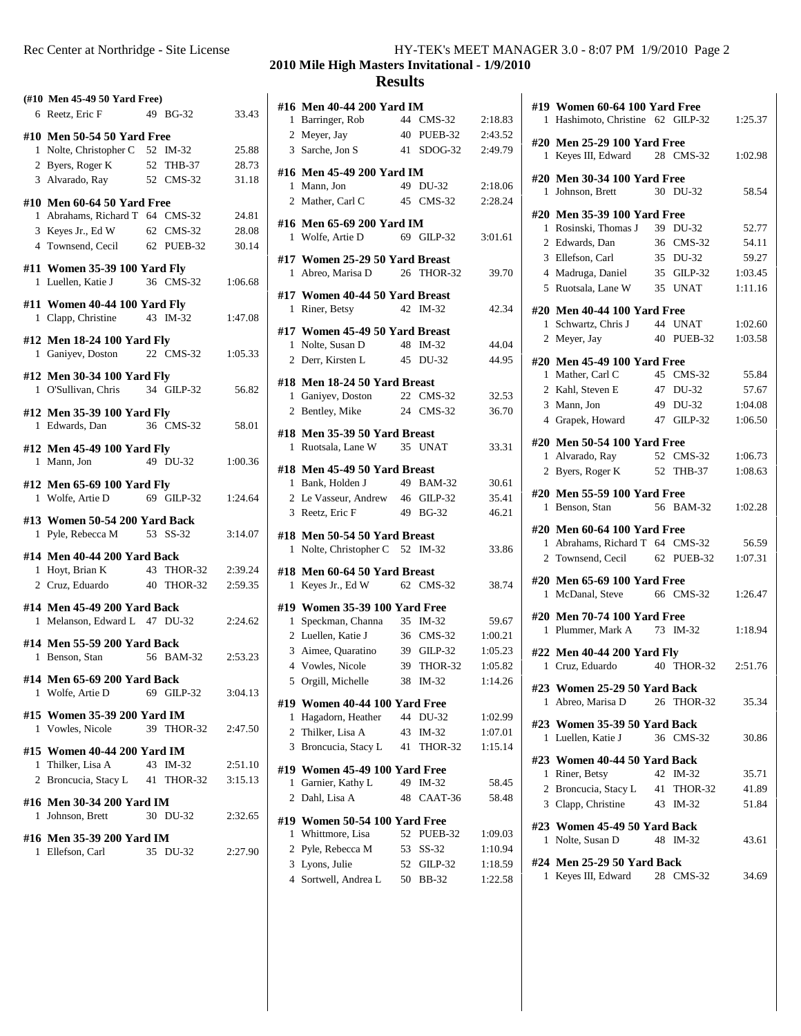|   | (#10 Men 45-49 50 Yard Free)<br>6 Reetz, Eric F   |    | 49 BG-32   | 33.43   | #16            |
|---|---------------------------------------------------|----|------------|---------|----------------|
|   |                                                   |    |            |         | 1              |
|   | #10 Men 50-54 50 Yard Free                        |    |            |         | 2              |
|   | 1 Nolte, Christopher C 52 IM-32                   |    |            | 25.88   | 3              |
|   | 2 Byers, Roger K                                  |    | 52 THB-37  | 28.73   | #16            |
|   | 3 Alvarado, Ray                                   |    | 52 CMS-32  | 31.18   | 1              |
|   | #10 Men 60-64 50 Yard Free                        |    |            |         | $\overline{c}$ |
|   | 1 Abrahams, Richard T 64 CMS-32                   |    |            | 24.81   |                |
|   | 3 Keyes Jr., Ed W 62 CMS-32                       |    |            | 28.08   | #16<br>1       |
|   | 4 Townsend, Cecil 62 PUEB-32                      |    |            | 30.14   |                |
|   | #11 Women 35-39 100 Yard Fly                      |    |            |         | #17            |
|   | 1 Luellen, Katie J                                |    | 36 CMS-32  | 1:06.68 | 1              |
|   |                                                   |    |            |         | #17            |
|   | #11 Women 40-44 100 Yard Fly                      |    |            |         | 1              |
|   | 1 Clapp, Christine                                |    | 43 IM-32   | 1:47.08 |                |
|   | #12 Men 18-24 100 Yard Fly                        |    |            |         | #17<br>1       |
|   | 1 Ganiyev, Doston 22 CMS-32                       |    |            | 1:05.33 | $\overline{c}$ |
|   |                                                   |    |            |         |                |
|   | #12 Men 30-34 100 Yard Fly<br>1 O'Sullivan, Chris |    | 34 GILP-32 | 56.82   | #18            |
|   |                                                   |    |            |         | 1              |
|   | #12 Men 35-39 100 Yard Fly                        |    |            |         | 2              |
|   | 1 Edwards, Dan                                    |    | 36 CMS-32  | 58.01   | #18            |
|   | #12 Men 45-49 100 Yard Fly                        |    |            |         | 1              |
|   | 1 Mann, Jon                                       |    | 49 DU-32   | 1:00.36 |                |
|   | #12 Men 65-69 100 Yard Fly                        |    |            |         | #18<br>1       |
|   | 1 Wolfe, Artie D 69 GILP-32                       |    |            | 1:24.64 | $\mathfrak{2}$ |
|   |                                                   |    |            |         | 3              |
|   | #13 Women 50-54 200 Yard Back                     |    |            |         |                |
|   | 1 Pyle, Rebecca M                                 |    | 53 SS-32   | 3:14.07 | #18            |
|   | #14 Men 40-44 200 Yard Back                       |    |            |         | 1              |
|   | 1 Hoyt, Brian K                                   |    | 43 THOR-32 | 2:39.24 | #18            |
|   | 2 Cruz, Eduardo 40 THOR-32                        |    |            | 2:59.35 | 1              |
|   | #14 Men 45-49 200 Yard Back                       |    |            |         | #19            |
| 1 | Melanson, Edward L 47 DU-32                       |    |            | 2:24.62 | 1              |
|   |                                                   |    |            |         | 2              |
|   | #14 Men 55-59 200 Yard Back                       |    |            |         | 3              |
|   | 1 Benson, Stan                                    |    | 56 BAM-32  | 2:53.23 | $\overline{4}$ |
|   | #14 Men 65-69 200 Yard Back                       |    |            |         | 5              |
| 1 | Wolfe, Artie D                                    |    | 69 GILP-32 | 3:04.13 |                |
|   | #15 Women 35-39 200 Yard IM                       |    |            |         | #19            |
|   | 1 Vowles, Nicole                                  |    | 39 THOR-32 | 2:47.50 | $\mathbf{1}$   |
|   |                                                   |    |            |         | 2<br>3         |
|   | #15 Women 40-44 200 Yard IM                       |    |            |         |                |
| 1 | Thilker, Lisa A                                   | 43 | $IM-32$    | 2:51.10 | #19            |
|   | 2 Broncucia, Stacy L 41                           |    | THOR-32    | 3:15.13 | 1              |
|   | #16 Men 30-34 200 Yard IM                         |    |            |         | 2              |
| 1 | Johnson, Brett                                    |    | 30 DU-32   | 2:32.65 | #19            |
|   | #16 Men 35-39 200 Yard IM                         |    |            |         | 1              |
|   | 1 Ellefson, Carl 35 DU-32                         |    |            | 2:27.90 | 2              |
|   |                                                   |    |            |         |                |

### Rec Center at Northridge - Site License HY-TEK's MEET MANAGER 3.0 - 8:07 PM 1/9/2010 Page 2

## **Mile High Masters Invitational - 1/9/2010 Results**

| #16 Men 40-44 200 Yard IM     |                                                         |                           |                                                                                                                                                                                                                                                                                                                                                                                                                                                                                                                                                                                                                                                                 | #19                                                             |
|-------------------------------|---------------------------------------------------------|---------------------------|-----------------------------------------------------------------------------------------------------------------------------------------------------------------------------------------------------------------------------------------------------------------------------------------------------------------------------------------------------------------------------------------------------------------------------------------------------------------------------------------------------------------------------------------------------------------------------------------------------------------------------------------------------------------|-----------------------------------------------------------------|
| 1 Barringer, Rob              |                                                         | 44 CMS-32                 | 2:18.83                                                                                                                                                                                                                                                                                                                                                                                                                                                                                                                                                                                                                                                         | 1                                                               |
| 2 Meyer, Jay                  |                                                         | 40 PUEB-32                | 2:43.52                                                                                                                                                                                                                                                                                                                                                                                                                                                                                                                                                                                                                                                         |                                                                 |
|                               |                                                         |                           |                                                                                                                                                                                                                                                                                                                                                                                                                                                                                                                                                                                                                                                                 | #20                                                             |
|                               |                                                         |                           |                                                                                                                                                                                                                                                                                                                                                                                                                                                                                                                                                                                                                                                                 | 1                                                               |
|                               |                                                         |                           |                                                                                                                                                                                                                                                                                                                                                                                                                                                                                                                                                                                                                                                                 | #20                                                             |
| 1 Mann, Jon                   |                                                         |                           | 2:18.06                                                                                                                                                                                                                                                                                                                                                                                                                                                                                                                                                                                                                                                         | 1                                                               |
|                               |                                                         |                           | 2:28.24                                                                                                                                                                                                                                                                                                                                                                                                                                                                                                                                                                                                                                                         |                                                                 |
|                               |                                                         |                           |                                                                                                                                                                                                                                                                                                                                                                                                                                                                                                                                                                                                                                                                 | #20                                                             |
|                               |                                                         |                           |                                                                                                                                                                                                                                                                                                                                                                                                                                                                                                                                                                                                                                                                 | 1                                                               |
|                               |                                                         |                           |                                                                                                                                                                                                                                                                                                                                                                                                                                                                                                                                                                                                                                                                 | $\overline{c}$                                                  |
|                               |                                                         |                           |                                                                                                                                                                                                                                                                                                                                                                                                                                                                                                                                                                                                                                                                 | 3                                                               |
| 1                             |                                                         |                           |                                                                                                                                                                                                                                                                                                                                                                                                                                                                                                                                                                                                                                                                 | $\overline{4}$                                                  |
|                               |                                                         |                           |                                                                                                                                                                                                                                                                                                                                                                                                                                                                                                                                                                                                                                                                 | 5                                                               |
| Riner, Betsy<br>1             |                                                         |                           | 42.34                                                                                                                                                                                                                                                                                                                                                                                                                                                                                                                                                                                                                                                           | #20                                                             |
|                               |                                                         |                           |                                                                                                                                                                                                                                                                                                                                                                                                                                                                                                                                                                                                                                                                 | 1                                                               |
|                               |                                                         |                           |                                                                                                                                                                                                                                                                                                                                                                                                                                                                                                                                                                                                                                                                 | $\overline{c}$                                                  |
|                               |                                                         |                           |                                                                                                                                                                                                                                                                                                                                                                                                                                                                                                                                                                                                                                                                 |                                                                 |
|                               |                                                         |                           |                                                                                                                                                                                                                                                                                                                                                                                                                                                                                                                                                                                                                                                                 | #20                                                             |
|                               |                                                         |                           |                                                                                                                                                                                                                                                                                                                                                                                                                                                                                                                                                                                                                                                                 | 1                                                               |
|                               |                                                         |                           | 32.53                                                                                                                                                                                                                                                                                                                                                                                                                                                                                                                                                                                                                                                           | 2                                                               |
| 2 Bentley, Mike               |                                                         |                           | 36.70                                                                                                                                                                                                                                                                                                                                                                                                                                                                                                                                                                                                                                                           | 3                                                               |
|                               |                                                         |                           |                                                                                                                                                                                                                                                                                                                                                                                                                                                                                                                                                                                                                                                                 | $\overline{4}$                                                  |
|                               |                                                         |                           |                                                                                                                                                                                                                                                                                                                                                                                                                                                                                                                                                                                                                                                                 | #20                                                             |
|                               |                                                         |                           |                                                                                                                                                                                                                                                                                                                                                                                                                                                                                                                                                                                                                                                                 | 1                                                               |
|                               |                                                         |                           |                                                                                                                                                                                                                                                                                                                                                                                                                                                                                                                                                                                                                                                                 | 2                                                               |
| 1 Bank, Holden J              |                                                         |                           | 30.61                                                                                                                                                                                                                                                                                                                                                                                                                                                                                                                                                                                                                                                           |                                                                 |
|                               |                                                         |                           | 35.41                                                                                                                                                                                                                                                                                                                                                                                                                                                                                                                                                                                                                                                           | #20                                                             |
| 3 Reetz, Eric F               |                                                         |                           | 46.21                                                                                                                                                                                                                                                                                                                                                                                                                                                                                                                                                                                                                                                           | 1                                                               |
|                               |                                                         |                           |                                                                                                                                                                                                                                                                                                                                                                                                                                                                                                                                                                                                                                                                 | #20                                                             |
|                               |                                                         |                           |                                                                                                                                                                                                                                                                                                                                                                                                                                                                                                                                                                                                                                                                 | 1                                                               |
|                               |                                                         |                           |                                                                                                                                                                                                                                                                                                                                                                                                                                                                                                                                                                                                                                                                 | $\mathbf{2}$                                                    |
|                               |                                                         |                           |                                                                                                                                                                                                                                                                                                                                                                                                                                                                                                                                                                                                                                                                 |                                                                 |
| 1                             |                                                         |                           |                                                                                                                                                                                                                                                                                                                                                                                                                                                                                                                                                                                                                                                                 |                                                                 |
|                               |                                                         | Keyes Jr., Ed W 62 CMS-32 | 38.74                                                                                                                                                                                                                                                                                                                                                                                                                                                                                                                                                                                                                                                           | #20<br>1                                                        |
| #19 Women 35-39 100 Yard Free |                                                         |                           |                                                                                                                                                                                                                                                                                                                                                                                                                                                                                                                                                                                                                                                                 |                                                                 |
| Speckman, Channa<br>1         |                                                         | 35 IM-32                  | 59.67                                                                                                                                                                                                                                                                                                                                                                                                                                                                                                                                                                                                                                                           | #20                                                             |
| 2 Luellen, Katie J            |                                                         | 36 CMS-32                 | 1:00.21                                                                                                                                                                                                                                                                                                                                                                                                                                                                                                                                                                                                                                                         | 1                                                               |
| 3 Aimee, Quaratino            |                                                         | 39 GILP-32                | 1:05.23                                                                                                                                                                                                                                                                                                                                                                                                                                                                                                                                                                                                                                                         | #22                                                             |
| 4 Vowles, Nicole              |                                                         | 39 THOR-32                | 1:05.82                                                                                                                                                                                                                                                                                                                                                                                                                                                                                                                                                                                                                                                         | 1                                                               |
| 5 Orgill, Michelle            |                                                         | 38 IM-32                  | 1:14.26                                                                                                                                                                                                                                                                                                                                                                                                                                                                                                                                                                                                                                                         |                                                                 |
|                               |                                                         |                           |                                                                                                                                                                                                                                                                                                                                                                                                                                                                                                                                                                                                                                                                 | #23                                                             |
| #19 Women 40-44 100 Yard Free |                                                         |                           |                                                                                                                                                                                                                                                                                                                                                                                                                                                                                                                                                                                                                                                                 | 1                                                               |
| Hagadorn, Heather             |                                                         | 44 DU-32                  | 1:02.99                                                                                                                                                                                                                                                                                                                                                                                                                                                                                                                                                                                                                                                         | #23                                                             |
| 2 Thilker, Lisa A             | 43                                                      | $IM-32$                   | 1:07.01                                                                                                                                                                                                                                                                                                                                                                                                                                                                                                                                                                                                                                                         | 1                                                               |
| 3 Broncucia, Stacy L          | 41                                                      | THOR-32                   | 1:15.14                                                                                                                                                                                                                                                                                                                                                                                                                                                                                                                                                                                                                                                         | #23                                                             |
| #19 Women 45-49 100 Yard Free |                                                         |                           |                                                                                                                                                                                                                                                                                                                                                                                                                                                                                                                                                                                                                                                                 | 1                                                               |
| Garnier, Kathy L              | 49                                                      | $IM-32$                   | 58.45                                                                                                                                                                                                                                                                                                                                                                                                                                                                                                                                                                                                                                                           | 2                                                               |
| 2 Dahl, Lisa A                | 48                                                      | CAAT-36                   | 58.48                                                                                                                                                                                                                                                                                                                                                                                                                                                                                                                                                                                                                                                           | 3                                                               |
| #19 Women 50-54 100 Yard Free |                                                         |                           |                                                                                                                                                                                                                                                                                                                                                                                                                                                                                                                                                                                                                                                                 |                                                                 |
| Whittmore, Lisa               |                                                         | 52 PUEB-32                | 1:09.03                                                                                                                                                                                                                                                                                                                                                                                                                                                                                                                                                                                                                                                         | #23                                                             |
| 2 Pyle, Rebecca M             | 53                                                      | $SS-32$                   | 1:10.94                                                                                                                                                                                                                                                                                                                                                                                                                                                                                                                                                                                                                                                         | 1                                                               |
| 3 Lyons, Julie                |                                                         | 52 GILP-32                | 1:18.59                                                                                                                                                                                                                                                                                                                                                                                                                                                                                                                                                                                                                                                         | #24                                                             |
|                               | 3 Sarche, Jon S<br>1 Wolfe, Artie D<br>1 Nolte, Susan D |                           | 41 SDOG-32<br>#16 Men 45-49 200 Yard IM<br>49 DU-32<br>2 Mather, Carl C 45 CMS-32<br>#16 Men 65-69 200 Yard IM<br>69 GILP-32<br>#17 Women 25-29 50 Yard Breast<br>Abreo, Marisa D 26 THOR-32<br>#17 Women 40-44 50 Yard Breast<br>42 IM-32<br>#17 Women 45-49 50 Yard Breast<br>48 IM-32<br>2 Derr, Kirsten L 45 DU-32<br>#18 Men 18-24 50 Yard Breast<br>1 Ganiyev, Doston 22 CMS-32<br>24 CMS-32<br>#18 Men 35-39 50 Yard Breast<br>1 Ruotsala, Lane W 35 UNAT<br>#18 Men 45-49 50 Yard Breast<br>49 BAM-32<br>2 Le Vasseur, Andrew 46 GILP-32<br>49 BG-32<br>#18 Men 50-54 50 Yard Breast<br>1 Nolte, Christopher C 52 IM-32<br>#18 Men 60-64 50 Yard Breast | 2:49.79<br>3:01.61<br>39.70<br>44.04<br>44.95<br>33.31<br>33.86 |

| #19 Women 60-64 100 Yard Free<br>1 Hashimoto, Christine 62 GILP-32 |    |                    | 1:25.37 |  |
|--------------------------------------------------------------------|----|--------------------|---------|--|
| #20 Men 25-29 100 Yard Free<br>1 Keyes III, Edward 28 CMS-32       |    |                    | 1:02.98 |  |
| #20 Men 30-34 100 Yard Free<br>1 Johnson, Brett                    |    | 30 DU-32           | 58.54   |  |
| #20 Men 35-39 100 Yard Free                                        |    |                    |         |  |
| 1 Rosinski, Thomas J                                               |    | 39 DU-32           | 52.77   |  |
| 2 Edwards, Dan                                                     |    | 36 CMS-32          | 54.11   |  |
| 3 Ellefson, Carl                                                   |    | 35 DU-32           | 59.27   |  |
| 4 Madruga, Daniel                                                  |    | 35 GILP-32         | 1:03.45 |  |
| 5 Ruotsala, Lane W                                                 |    | 35 UNAT            | 1:11.16 |  |
| #20 Men 40-44 100 Yard Free                                        |    |                    |         |  |
| 1 Schwartz, Chris J                                                |    | 44 UNAT            | 1:02.60 |  |
| 2 Meyer, Jay                                                       |    | 40 PUEB-32         | 1:03.58 |  |
| #20 Men 45-49 100 Yard Free                                        |    |                    |         |  |
| 1 Mather, Carl C                                                   |    | 45 CMS-32          | 55.84   |  |
| 2 Kahl, Steven E                                                   |    | 47 DU-32           | 57.67   |  |
| 3 Mann, Jon                                                        |    | 49 DU-32           | 1:04.08 |  |
| 4 Grapek, Howard 47 GILP-32                                        |    |                    | 1:06.50 |  |
|                                                                    |    |                    |         |  |
| #20 Men 50-54 100 Yard Free<br>1 Alvarado, Ray                     |    | 52 CMS-32          | 1:06.73 |  |
| 2 Byers, Roger K                                                   |    | 52 THB-37          | 1:08.63 |  |
|                                                                    |    |                    |         |  |
| #20 Men 55-59 100 Yard Free<br>1 Benson, Stan                      |    | 56 BAM-32          | 1:02.28 |  |
| #20 Men 60-64 100 Yard Free                                        |    |                    |         |  |
| 1 Abrahams, Richard T 64 CMS-32                                    |    |                    | 56.59   |  |
| 2 Townsend, Cecil                                                  |    | 62 PUEB-32         | 1:07.31 |  |
|                                                                    |    |                    |         |  |
| #20 Men 65-69 100 Yard Free<br>1 McDanal, Steve                    |    | 66 CMS-32          | 1:26.47 |  |
| #20 Men 70-74 100 Yard Free                                        |    |                    |         |  |
| 1 Plummer, Mark A                                                  |    | 73 IM-32           | 1:18.94 |  |
| #22 Men 40-44 200 Yard Fly                                         |    |                    |         |  |
| 1 Cruz, Eduardo                                                    |    | 40 THOR-32 2:51.76 |         |  |
|                                                                    |    |                    |         |  |
| #23 Women 25-29 50 Yard Back                                       |    |                    |         |  |
| 1 Abreo, Marisa D                                                  | 26 | THOR-32            | 35.34   |  |
| #23 Women 35-39 50 Yard Back<br>1 Luellen, Katie J                 |    | 36 CMS-32          | 30.86   |  |
| #23 Women 40-44 50 Yard Back                                       |    |                    |         |  |
| 1 Riner, Betsy                                                     |    | 42 IM-32           | 35.71   |  |
| 2 Broncucia, Stacy L                                               |    | 41 THOR-32         | 41.89   |  |
| 3 Clapp, Christine                                                 |    | 43 IM-32           | 51.84   |  |
|                                                                    |    |                    |         |  |
| #23 Women 45-49 50 Yard Back                                       |    |                    |         |  |
| 1 Nolte, Susan D                                                   |    | 48 IM-32           | 43.61   |  |
| #24 Men 25-29 50 Yard Back<br>1 Keyes III, Edward                  | 28 | $CMS-32$           | 34.69   |  |
|                                                                    |    |                    |         |  |